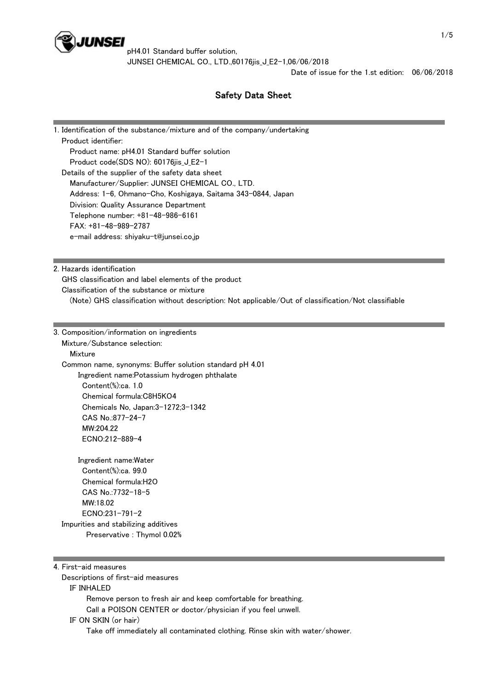

pH4.01 Standard buffer solution, JUNSEI CHEMICAL CO., LTD.,60176iis J E2-1,06/06/2018

Date of issue for the 1.st edition: 06/06/2018

# Safety Data Sheet

1. Identification of the substance/mixture and of the company/undertaking Product identifier: Product name: pH4.01 Standard buffer solution Product code(SDS NO): 60176iis J E2-1 Details of the supplier of the safety data sheet Manufacturer/Supplier: JUNSEI CHEMICAL CO., LTD. Address: 1-6, Ohmano-Cho, Koshigaya, Saitama 343-0844, Japan Division: Quality Assurance Department Telephone number: +81-48-986-6161 FAX: +81-48-989-2787 e-mail address: shiyaku-t@junsei.co.jp

2. Hazards identification

GHS classification and label elements of the product

Classification of the substance or mixture

(Note) GHS classification without description: Not applicable/Out of classification/Not classifiable

3. Composition/information on ingredients Mixture/Substance selection: **Mixture**  Common name, synonyms: Buffer solution standard pH 4.01 Ingredient name:Potassium hydrogen phthalate Content(%):ca. 1.0 Chemical formula:C8H5KO4 Chemicals No, Japan:3-1272;3-1342 CAS No.:877-24-7 MW:204.22 ECNO:212-889-4 Ingredient name:Water

 Content(%):ca. 99.0 Chemical formula:H2O CAS No.:7732-18-5 MW:18.02 ECNO:231-791-2 Impurities and stabilizing additives Preservative : Thymol 0.02%

4. First-aid measures

Descriptions of first-aid measures

IF INHALED

Remove person to fresh air and keep comfortable for breathing.

Call a POISON CENTER or doctor/physician if you feel unwell.

IF ON SKIN (or hair)

Take off immediately all contaminated clothing. Rinse skin with water/shower.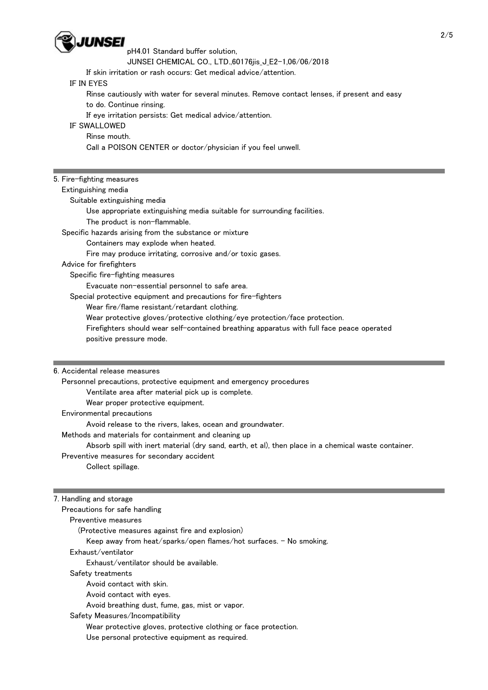

#### pH4.01 Standard buffer solution,

JUNSEI CHEMICAL CO., LTD.,60176jis\_J\_E2-1,06/06/2018

If skin irritation or rash occurs: Get medical advice/attention.

## IF IN EYES

Rinse cautiously with water for several minutes. Remove contact lenses, if present and easy

to do. Continue rinsing.

If eye irritation persists: Get medical advice/attention.

## IF SWALLOWED

Rinse mouth.

Call a POISON CENTER or doctor/physician if you feel unwell.

# 5. Fire-fighting measures

#### Extinguishing media

Suitable extinguishing media

Use appropriate extinguishing media suitable for surrounding facilities.

The product is non-flammable.

Specific hazards arising from the substance or mixture

Containers may explode when heated.

Fire may produce irritating, corrosive and/or toxic gases.

# Advice for firefighters

Specific fire-fighting measures

Evacuate non-essential personnel to safe area.

Special protective equipment and precautions for fire-fighters

Wear fire/flame resistant/retardant clothing.

Wear protective gloves/protective clothing/eye protection/face protection.

 Firefighters should wear self-contained breathing apparatus with full face peace operated positive pressure mode.

## 6. Accidental release measures

Personnel precautions, protective equipment and emergency procedures

Ventilate area after material pick up is complete.

Wear proper protective equipment.

Environmental precautions

Avoid release to the rivers, lakes, ocean and groundwater.

Methods and materials for containment and cleaning up

Absorb spill with inert material (dry sand, earth, et al), then place in a chemical waste container.

Preventive measures for secondary accident

Collect spillage.

# 7. Handling and storage

 Precautions for safe handling Preventive measures (Protective measures against fire and explosion) Keep away from heat/sparks/open flames/hot surfaces. - No smoking. Exhaust/ventilator Exhaust/ventilator should be available.

Safety treatments

Avoid contact with skin.

Avoid contact with eyes.

Avoid breathing dust, fume, gas, mist or vapor.

Safety Measures/Incompatibility

Wear protective gloves, protective clothing or face protection.

Use personal protective equipment as required.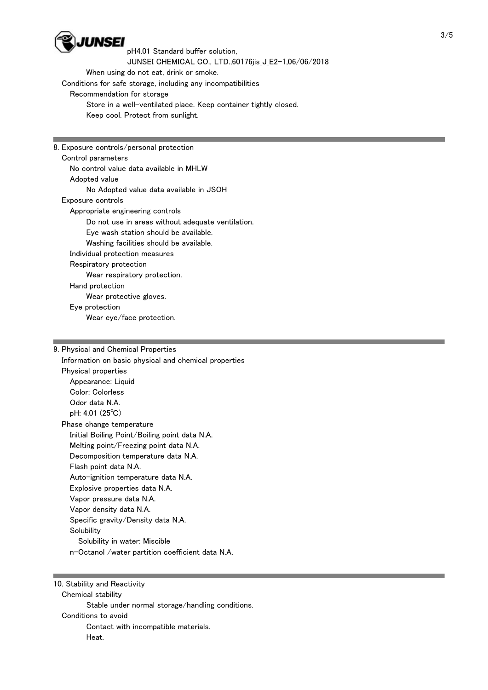

pH4.01 Standard buffer solution, JUNSEI CHEMICAL CO., LTD.,60176iis J E2-1,06/06/2018 When using do not eat, drink or smoke. Conditions for safe storage, including any incompatibilities Recommendation for storage Store in a well-ventilated place. Keep container tightly closed. Keep cool. Protect from sunlight.

8. Exposure controls/personal protection Control parameters No control value data available in MHLW Adopted value No Adopted value data available in JSOH Exposure controls Appropriate engineering controls Do not use in areas without adequate ventilation. Eye wash station should be available. Washing facilities should be available. Individual protection measures Respiratory protection Wear respiratory protection. Hand protection Wear protective gloves. Eye protection Wear eye/face protection.

9. Physical and Chemical Properties Information on basic physical and chemical properties Physical properties Appearance: Liquid Color: Colorless Odor data N.A. pH: 4.01 (25℃) Phase change temperature Initial Boiling Point/Boiling point data N.A. Melting point/Freezing point data N.A. Decomposition temperature data N.A. Flash point data N.A. Auto-ignition temperature data N.A. Explosive properties data N.A. Vapor pressure data N.A. Vapor density data N.A. Specific gravity/Density data N.A. **Solubility**  Solubility in water: Miscible n-Octanol /water partition coefficient data N.A.

10. Stability and Reactivity Chemical stability Stable under normal storage/handling conditions. Conditions to avoid Contact with incompatible materials. Heat.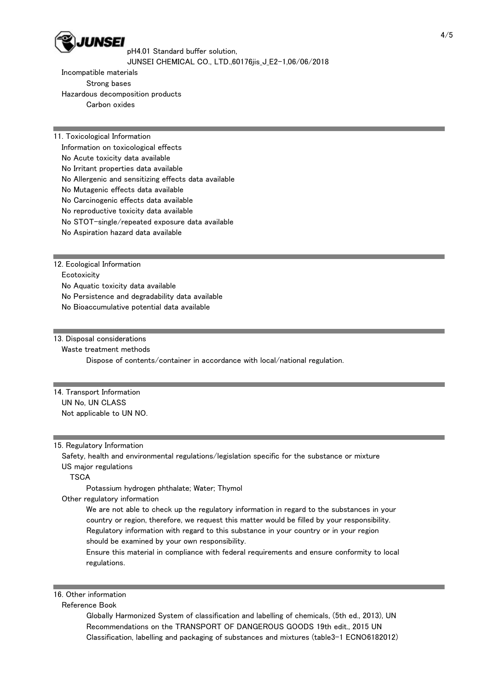

pH4.01 Standard buffer solution, JUNSEI CHEMICAL CO., LTD.,60176jis\_J\_E2-1,06/06/2018

 Incompatible materials Strong bases Hazardous decomposition products Carbon oxides

11. Toxicological Information

Information on toxicological effects

No Acute toxicity data available

No Irritant properties data available

No Allergenic and sensitizing effects data available

No Mutagenic effects data available

No Carcinogenic effects data available

No reproductive toxicity data available

No STOT-single/repeated exposure data available

No Aspiration hazard data available

12. Ecological Information

**Ecotoxicity** 

No Aquatic toxicity data available

No Persistence and degradability data available

No Bioaccumulative potential data available

13. Disposal considerations

Waste treatment methods

Dispose of contents/container in accordance with local/national regulation.

14. Transport Information UN No, UN CLASS Not applicable to UN NO.

15. Regulatory Information

Safety, health and environmental regulations/legislation specific for the substance or mixture

US major regulations

**TSCA** 

Potassium hydrogen phthalate; Water; Thymol

Other regulatory information

 We are not able to check up the regulatory information in regard to the substances in your country or region, therefore, we request this matter would be filled by your responsibility. Regulatory information with regard to this substance in your country or in your region should be examined by your own responsibility.

 Ensure this material in compliance with federal requirements and ensure conformity to local regulations.

16. Other information

Reference Book

 Globally Harmonized System of classification and labelling of chemicals, (5th ed., 2013), UN Recommendations on the TRANSPORT OF DANGEROUS GOODS 19th edit., 2015 UN Classification, labelling and packaging of substances and mixtures (table3-1 ECNO6182012)